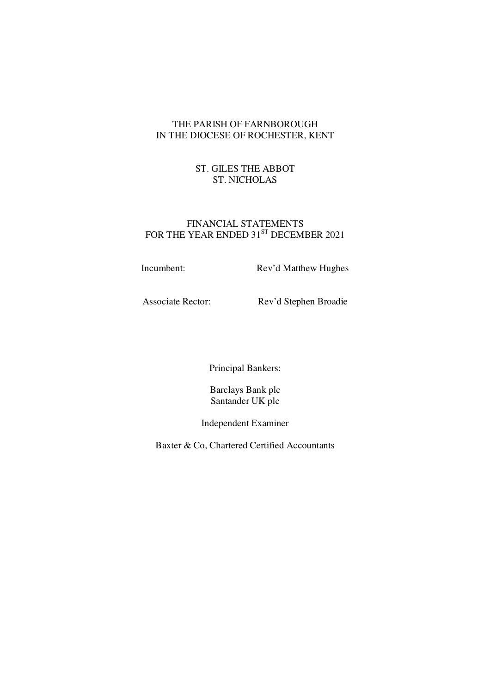# THE PARISH OF FARNBOROUGH IN THE DIOCESE OF ROCHESTER, KENT

# ST. GILES THE ABBOT ST. NICHOLAS

## FINANCIAL STATEMENTS FOR THE YEAR ENDED  $31^{ST}$  DECEMBER 2021

Incumbent: Rev'd Matthew Hughes

Associate Rector: Rev'd Stephen Broadie

Principal Bankers:

Barclays Bank plc Santander UK plc

Independent Examiner

Baxter & Co, Chartered Certified Accountants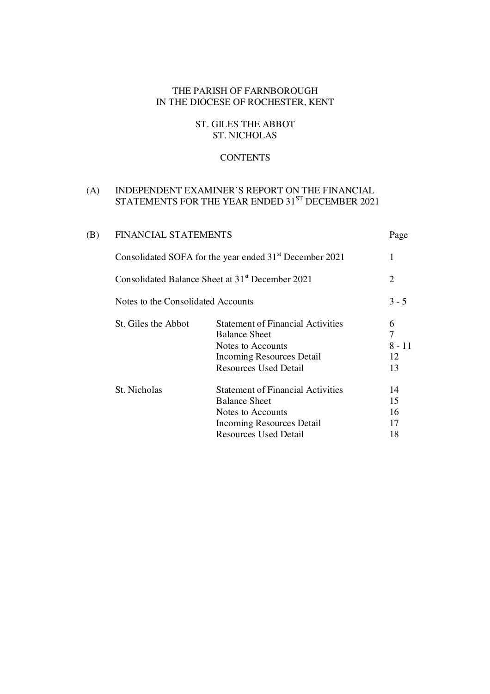# THE PARISH OF FARNBOROUGH IN THE DIOCESE OF ROCHESTER, KENT

# ST. GILES THE ABBOT ST. NICHOLAS

# **CONTENTS**

## (A) INDEPENDENT EXAMINER'S REPORT ON THE FINANCIAL STATEMENTS FOR THE YEAR ENDED  $31^\mathrm{ST}$  DECEMBER  $2021$

| (B) | <b>FINANCIAL STATEMENTS</b>                                         |                                                                                                                                                    |                                |  |  |
|-----|---------------------------------------------------------------------|----------------------------------------------------------------------------------------------------------------------------------------------------|--------------------------------|--|--|
|     | Consolidated SOFA for the year ended 31 <sup>st</sup> December 2021 |                                                                                                                                                    |                                |  |  |
|     | Consolidated Balance Sheet at 31 <sup>st</sup> December 2021        |                                                                                                                                                    |                                |  |  |
|     | Notes to the Consolidated Accounts                                  |                                                                                                                                                    | $3 - 5$                        |  |  |
|     | St. Giles the Abbot                                                 | <b>Statement of Financial Activities</b><br><b>Balance Sheet</b><br>Notes to Accounts<br>Incoming Resources Detail<br><b>Resources Used Detail</b> | 6<br>7<br>$8 - 11$<br>12<br>13 |  |  |
|     | St. Nicholas                                                        | <b>Statement of Financial Activities</b><br><b>Balance Sheet</b><br>Notes to Accounts<br>Incoming Resources Detail<br><b>Resources Used Detail</b> | 14<br>15<br>16<br>17<br>18     |  |  |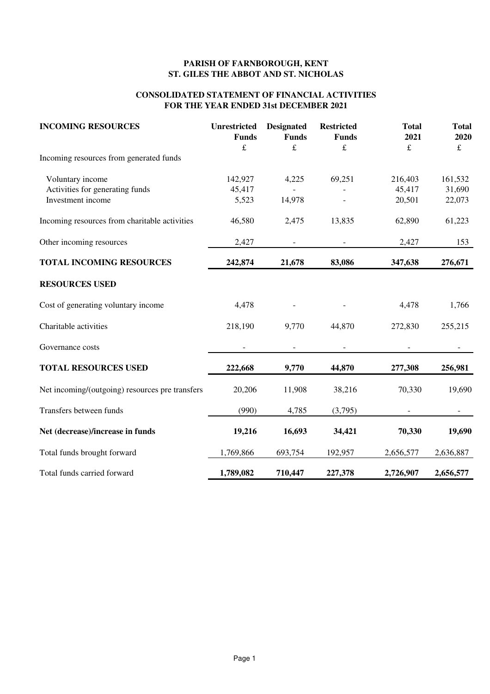## **PARISH OF FARNBOROUGH, KENT ST. GILES THE ABBOT AND ST. NICHOLAS**

## **CONSOLIDATED STATEMENT OF FINANCIAL ACTIVITIES FOR THE YEAR ENDED 31st DECEMBER 2021**

| <b>INCOMING RESOURCES</b>                       | <b>Unrestricted</b><br><b>Funds</b><br>£ | <b>Designated</b><br><b>Funds</b><br>$\mathbf f$ | <b>Restricted</b><br><b>Funds</b><br>£ | <b>Total</b><br>2021<br>£ | <b>Total</b><br>2020<br>$\pounds$ |
|-------------------------------------------------|------------------------------------------|--------------------------------------------------|----------------------------------------|---------------------------|-----------------------------------|
| Incoming resources from generated funds         |                                          |                                                  |                                        |                           |                                   |
| Voluntary income                                | 142,927                                  | 4,225                                            | 69,251                                 | 216,403                   | 161,532                           |
| Activities for generating funds                 | 45,417                                   |                                                  |                                        | 45,417                    | 31,690                            |
| Investment income                               | 5,523                                    | 14,978                                           |                                        | 20,501                    | 22,073                            |
| Incoming resources from charitable activities   | 46,580                                   | 2,475                                            | 13,835                                 | 62,890                    | 61,223                            |
| Other incoming resources                        | 2,427                                    |                                                  |                                        | 2,427                     | 153                               |
| <b>TOTAL INCOMING RESOURCES</b>                 | 242,874                                  | 21,678                                           | 83,086                                 | 347,638                   | 276,671                           |
| <b>RESOURCES USED</b>                           |                                          |                                                  |                                        |                           |                                   |
| Cost of generating voluntary income             | 4,478                                    |                                                  |                                        | 4,478                     | 1,766                             |
| Charitable activities                           | 218,190                                  | 9,770                                            | 44,870                                 | 272,830                   | 255,215                           |
| Governance costs                                |                                          |                                                  |                                        |                           |                                   |
| <b>TOTAL RESOURCES USED</b>                     | 222,668                                  | 9,770                                            | 44,870                                 | 277,308                   | 256,981                           |
| Net incoming/(outgoing) resources pre transfers | 20,206                                   | 11,908                                           | 38,216                                 | 70,330                    | 19,690                            |
| Transfers between funds                         | (990)                                    | 4,785                                            | (3,795)                                |                           |                                   |
| Net (decrease)/increase in funds                | 19,216                                   | 16,693                                           | 34,421                                 | 70,330                    | 19,690                            |
| Total funds brought forward                     | 1,769,866                                | 693,754                                          | 192,957                                | 2,656,577                 | 2,636,887                         |
| Total funds carried forward                     | 1,789,082                                | 710,447                                          | 227,378                                | 2,726,907                 | 2,656,577                         |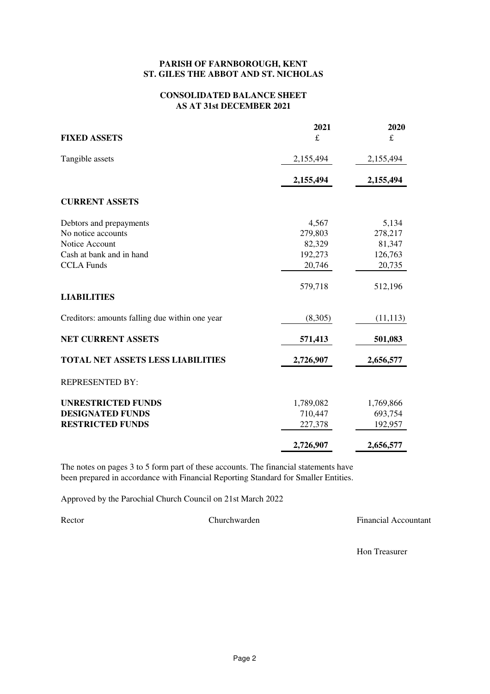## **PARISH OF FARNBOROUGH, KENT ST. GILES THE ABBOT AND ST. NICHOLAS**

### **CONSOLIDATED BALANCE SHEET AS AT 31st DECEMBER 2021**

| <b>FIXED ASSETS</b>                            | 2021<br>£ | 2020<br>£ |
|------------------------------------------------|-----------|-----------|
| Tangible assets                                | 2,155,494 | 2,155,494 |
|                                                | 2,155,494 | 2,155,494 |
| <b>CURRENT ASSETS</b>                          |           |           |
| Debtors and prepayments                        | 4,567     | 5,134     |
| No notice accounts                             | 279,803   | 278,217   |
| Notice Account                                 | 82,329    | 81,347    |
| Cash at bank and in hand                       | 192,273   | 126,763   |
| <b>CCLA Funds</b>                              | 20,746    | 20,735    |
| <b>LIABILITIES</b>                             | 579,718   | 512,196   |
| Creditors: amounts falling due within one year | (8,305)   | (11, 113) |
| NET CURRENT ASSETS                             | 571,413   | 501,083   |
| <b>TOTAL NET ASSETS LESS LIABILITIES</b>       | 2,726,907 | 2,656,577 |
| <b>REPRESENTED BY:</b>                         |           |           |
| <b>UNRESTRICTED FUNDS</b>                      | 1,789,082 | 1,769,866 |
| <b>DESIGNATED FUNDS</b>                        | 710,447   | 693,754   |
| <b>RESTRICTED FUNDS</b>                        | 227,378   | 192,957   |
|                                                | 2,726,907 | 2,656,577 |

The notes on pages 3 to 5 form part of these accounts. The financial statements have been prepared in accordance with Financial Reporting Standard for Smaller Entities.

Approved by the Parochial Church Council on 21st March 2022

Rector Churchwarden **Financial Accountant** 

Hon Treasurer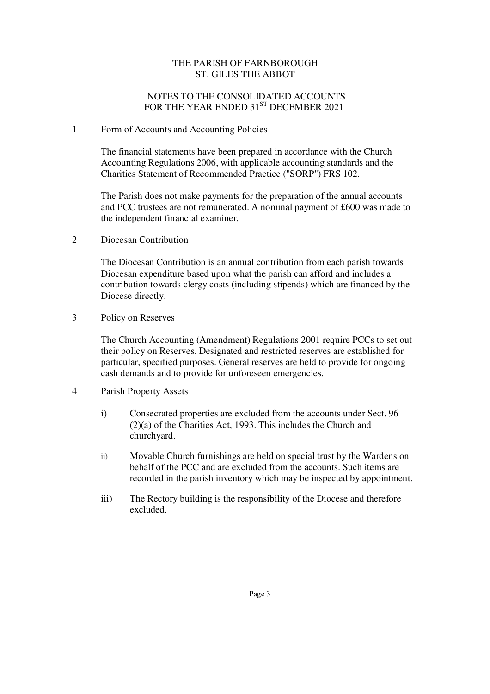## THE PARISH OF FARNBOROUGH ST. GILES THE ABBOT

# NOTES TO THE CONSOLIDATED ACCOUNTS FOR THE YEAR ENDED 31<sup>ST</sup> DECEMBER 2021

## 1 Form of Accounts and Accounting Policies

The financial statements have been prepared in accordance with the Church Accounting Regulations 2006, with applicable accounting standards and the Charities Statement of Recommended Practice ("SORP") FRS 102.

The Parish does not make payments for the preparation of the annual accounts and PCC trustees are not remunerated. A nominal payment of £600 was made to the independent financial examiner.

2 Diocesan Contribution

The Diocesan Contribution is an annual contribution from each parish towards Diocesan expenditure based upon what the parish can afford and includes a contribution towards clergy costs (including stipends) which are financed by the Diocese directly.

3 Policy on Reserves

The Church Accounting (Amendment) Regulations 2001 require PCCs to set out their policy on Reserves. Designated and restricted reserves are established for particular, specified purposes. General reserves are held to provide for ongoing cash demands and to provide for unforeseen emergencies.

- 4 Parish Property Assets
	- i) Consecrated properties are excluded from the accounts under Sect. 96 (2)(a) of the Charities Act, 1993. This includes the Church and churchyard.
	- ii) Movable Church furnishings are held on special trust by the Wardens on behalf of the PCC and are excluded from the accounts. Such items are recorded in the parish inventory which may be inspected by appointment.
	- iii) The Rectory building is the responsibility of the Diocese and therefore excluded.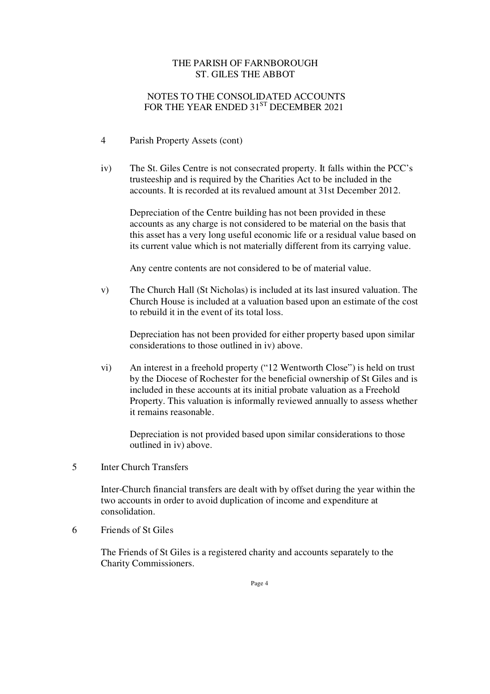## THE PARISH OF FARNBOROUGH ST. GILES THE ABBOT

# NOTES TO THE CONSOLIDATED ACCOUNTS FOR THE YEAR ENDED 31<sup>ST</sup> DECEMBER 2021

- 4 Parish Property Assets (cont)
- iv) The St. Giles Centre is not consecrated property. It falls within the PCC's trusteeship and is required by the Charities Act to be included in the accounts. It is recorded at its revalued amount at 31st December 2012.

 Depreciation of the Centre building has not been provided in these accounts as any charge is not considered to be material on the basis that this asset has a very long useful economic life or a residual value based on its current value which is not materially different from its carrying value.

Any centre contents are not considered to be of material value.

v) The Church Hall (St Nicholas) is included at its last insured valuation. The Church House is included at a valuation based upon an estimate of the cost to rebuild it in the event of its total loss.

Depreciation has not been provided for either property based upon similar considerations to those outlined in iv) above.

vi) An interest in a freehold property ("12 Wentworth Close") is held on trust by the Diocese of Rochester for the beneficial ownership of St Giles and is included in these accounts at its initial probate valuation as a Freehold Property. This valuation is informally reviewed annually to assess whether it remains reasonable.

Depreciation is not provided based upon similar considerations to those outlined in iv) above.

5 Inter Church Transfers

Inter-Church financial transfers are dealt with by offset during the year within the two accounts in order to avoid duplication of income and expenditure at consolidation.

6 Friends of St Giles

The Friends of St Giles is a registered charity and accounts separately to the Charity Commissioners.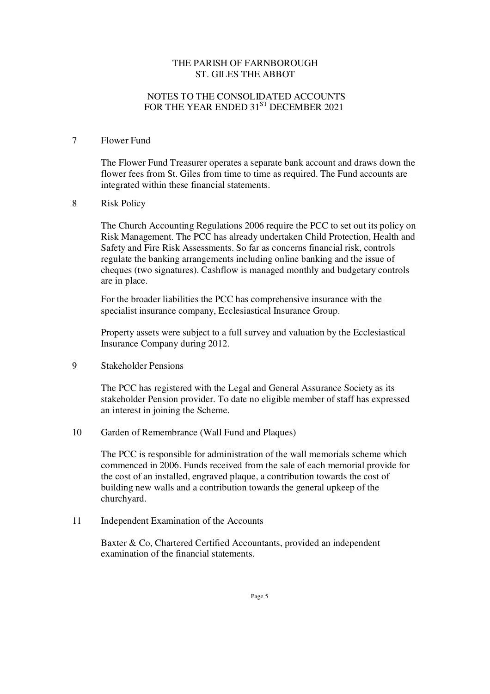## THE PARISH OF FARNBOROUGH ST. GILES THE ABBOT

# NOTES TO THE CONSOLIDATED ACCOUNTS FOR THE YEAR ENDED 31<sup>ST</sup> DECEMBER 2021

### 7 Flower Fund

The Flower Fund Treasurer operates a separate bank account and draws down the flower fees from St. Giles from time to time as required. The Fund accounts are integrated within these financial statements.

## 8 Risk Policy

The Church Accounting Regulations 2006 require the PCC to set out its policy on Risk Management. The PCC has already undertaken Child Protection, Health and Safety and Fire Risk Assessments. So far as concerns financial risk, controls regulate the banking arrangements including online banking and the issue of cheques (two signatures). Cashflow is managed monthly and budgetary controls are in place.

For the broader liabilities the PCC has comprehensive insurance with the specialist insurance company, Ecclesiastical Insurance Group.

Property assets were subject to a full survey and valuation by the Ecclesiastical Insurance Company during 2012.

9 Stakeholder Pensions

The PCC has registered with the Legal and General Assurance Society as its stakeholder Pension provider. To date no eligible member of staff has expressed an interest in joining the Scheme.

10 Garden of Remembrance (Wall Fund and Plaques)

The PCC is responsible for administration of the wall memorials scheme which commenced in 2006. Funds received from the sale of each memorial provide for the cost of an installed, engraved plaque, a contribution towards the cost of building new walls and a contribution towards the general upkeep of the churchyard.

11 Independent Examination of the Accounts

Baxter & Co, Chartered Certified Accountants, provided an independent examination of the financial statements.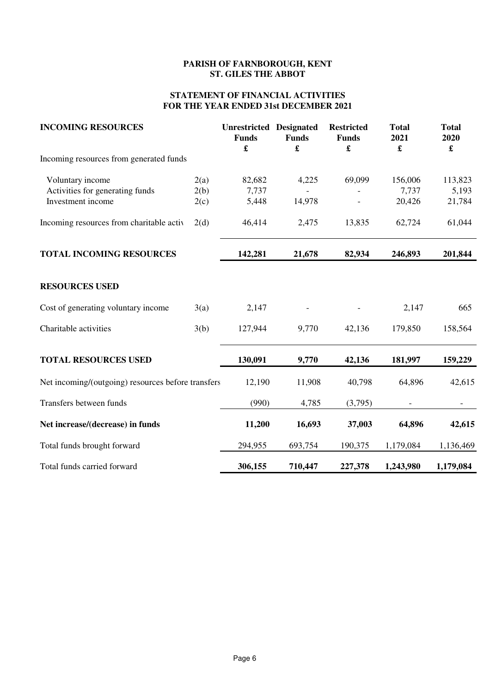# **PARISH OF FARNBOROUGH, KENT ST. GILES THE ABBOT**

## **STATEMENT OF FINANCIAL ACTIVITIES FOR THE YEAR ENDED 31st DECEMBER 2021**

| <b>INCOMING RESOURCES</b>                          |      | <b>Unrestricted Designated</b><br><b>Funds</b> | <b>Funds</b><br>£ | <b>Restricted</b><br><b>Funds</b><br>£ | <b>Total</b><br>2021<br>$\pmb{\mathfrak{L}}$ | <b>Total</b><br>2020<br>$\pmb{\mathfrak{L}}$ |
|----------------------------------------------------|------|------------------------------------------------|-------------------|----------------------------------------|----------------------------------------------|----------------------------------------------|
| Incoming resources from generated funds            |      |                                                |                   |                                        |                                              |                                              |
| Voluntary income                                   | 2(a) | 82,682                                         | 4,225             | 69,099                                 | 156,006                                      | 113,823                                      |
| Activities for generating funds                    | 2(b) | 7,737                                          |                   |                                        | 7,737                                        | 5,193                                        |
| Investment income                                  | 2(c) | 5,448                                          | 14,978            |                                        | 20,426                                       | 21,784                                       |
| Incoming resources from charitable activ           | 2(d) | 46,414                                         | 2,475             | 13,835                                 | 62,724                                       | 61,044                                       |
| <b>TOTAL INCOMING RESOURCES</b>                    |      | 142,281                                        | 21,678            | 82,934                                 | 246,893                                      | 201,844                                      |
| <b>RESOURCES USED</b>                              |      |                                                |                   |                                        |                                              |                                              |
| Cost of generating voluntary income                | 3(a) | 2,147                                          |                   |                                        | 2,147                                        | 665                                          |
| Charitable activities                              | 3(b) | 127,944                                        | 9,770             | 42,136                                 | 179,850                                      | 158,564                                      |
| <b>TOTAL RESOURCES USED</b>                        |      | 130,091                                        | 9,770             | 42,136                                 | 181,997                                      | 159,229                                      |
| Net incoming/(outgoing) resources before transfers |      | 12,190                                         | 11,908            | 40,798                                 | 64,896                                       | 42,615                                       |
| Transfers between funds                            |      | (990)                                          | 4,785             | (3,795)                                |                                              |                                              |
| Net increase/(decrease) in funds                   |      | 11,200                                         | 16,693            | 37,003                                 | 64,896                                       | 42,615                                       |
| Total funds brought forward                        |      | 294,955                                        | 693,754           | 190,375                                | 1,179,084                                    | 1,136,469                                    |
| Total funds carried forward                        |      | 306,155                                        | 710,447           | 227,378                                | 1,243,980                                    | 1,179,084                                    |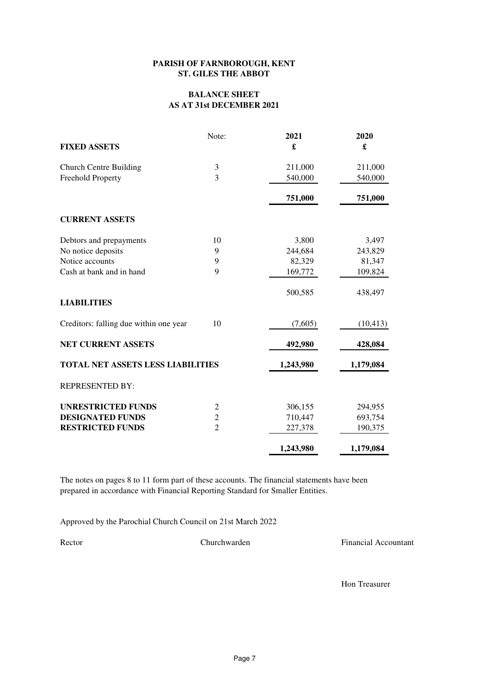### **PARISH OF FARNBOROUGH, KENT ST. GILES THE ABBOT**

## **BALANCE SHEET AS AT 31st DECEMBER 2021**

|                                          | Note:          | 2021      | 2020      |
|------------------------------------------|----------------|-----------|-----------|
| <b>FIXED ASSETS</b>                      |                | £         | £         |
| <b>Church Centre Building</b>            | 3              | 211,000   | 211,000   |
| Freehold Property                        | 3              | 540,000   | 540,000   |
|                                          |                | 751,000   | 751,000   |
| <b>CURRENT ASSETS</b>                    |                |           |           |
| Debtors and prepayments                  | 10             | 3,800     | 3,497     |
| No notice deposits                       | 9              | 244,684   | 243,829   |
| Notice accounts                          | 9              | 82,329    | 81,347    |
| Cash at bank and in hand                 | 9              | 169,772   | 109,824   |
|                                          |                | 500,585   | 438,497   |
| <b>LIABILITIES</b>                       |                |           |           |
| Creditors: falling due within one year   | 10             | (7,605)   | (10, 413) |
| <b>NET CURRENT ASSETS</b>                |                | 492,980   | 428,084   |
| <b>TOTAL NET ASSETS LESS LIABILITIES</b> |                | 1,243,980 | 1,179,084 |
| <b>REPRESENTED BY:</b>                   |                |           |           |
| <b>UNRESTRICTED FUNDS</b>                | $\overline{c}$ | 306,155   | 294,955   |
| <b>DESIGNATED FUNDS</b>                  | $\overline{c}$ | 710,447   | 693,754   |
| <b>RESTRICTED FUNDS</b>                  | $\overline{2}$ | 227,378   | 190,375   |
|                                          |                | 1,243,980 | 1,179,084 |

The notes on pages 8 to 11 form part of these accounts. The financial statements have been prepared in accordance with Financial Reporting Standard for Smaller Entities.

Approved by the Parochial Church Council on 21st March 2022

Rector Churchwarden Churchwarden Financial Accountant

Hon Treasurer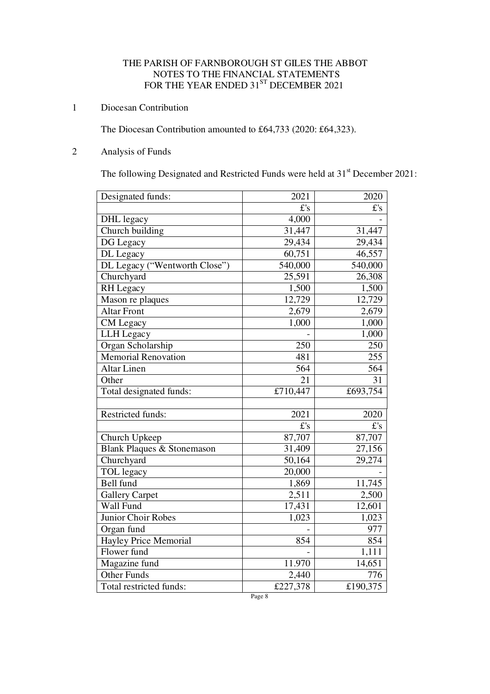# THE PARISH OF FARNBOROUGH ST GILES THE ABBOT NOTES TO THE FINANCIAL STATEMENTS FOR THE YEAR ENDED 31 $^{\mathrm{ST}}$  DECEMBER 2021

# 1 Diocesan Contribution

The Diocesan Contribution amounted to £64,733 (2020: £64,323).

# 2 Analysis of Funds

The following Designated and Restricted Funds were held at 31<sup>st</sup> December 2021:

| Designated funds:             | 2021                | 2020                 |
|-------------------------------|---------------------|----------------------|
|                               | f's                 | E's                  |
| DHL legacy                    | 4,000               |                      |
| Church building               | 31,447              | 31,447               |
| DG Legacy                     | 29,434              | 29,434               |
| DL Legacy                     | 60,751              | 46,557               |
| DL Legacy ("Wentworth Close") | 540,000             | $\overline{540,000}$ |
| Churchyard                    | 25,591              | 26,308               |
| RH Legacy                     | 1,500               | 1,500                |
| Mason re plaques              | 12,729              | $\overline{1}2,729$  |
| <b>Altar Front</b>            | 2,679               | 2,679                |
| CM Legacy                     | 1,000               | 1,000                |
| LLH Legacy                    |                     | 1,000                |
| Organ Scholarship             | 250                 | 250                  |
| <b>Memorial Renovation</b>    | 481                 | 255                  |
| <b>Altar Linen</b>            | 564                 | 564                  |
| Other                         | 21                  | 31                   |
| Total designated funds:       | £710,447            | £693,754             |
|                               |                     |                      |
| <b>Restricted funds:</b>      | 2021                | 2020                 |
|                               | f's                 | $E$ 's               |
| Church Upkeep                 | 87,707              | 87,707               |
| Blank Plaques & Stonemason    | 31,409              | 27,156               |
| Churchyard                    | $\overline{50,164}$ | 29,274               |
| TOL legacy                    | 20,000              |                      |
| Bell fund                     | 1,869               | 11,745               |
| <b>Gallery Carpet</b>         | 2,511               | 2,500                |
| Wall Fund                     | $\overline{17,}431$ | 12,601               |
| Junior Choir Robes            | 1,023               | 1,023                |
| Organ fund                    |                     | 977                  |
| <b>Hayley Price Memorial</b>  | 854                 | 854                  |
| Flower fund                   |                     | 1,111                |
| Magazine fund                 | 11.970              | 14,651               |
| <b>Other Funds</b>            | 2,440               | 776                  |
| Total restricted funds:       | £227,378            | £190,375             |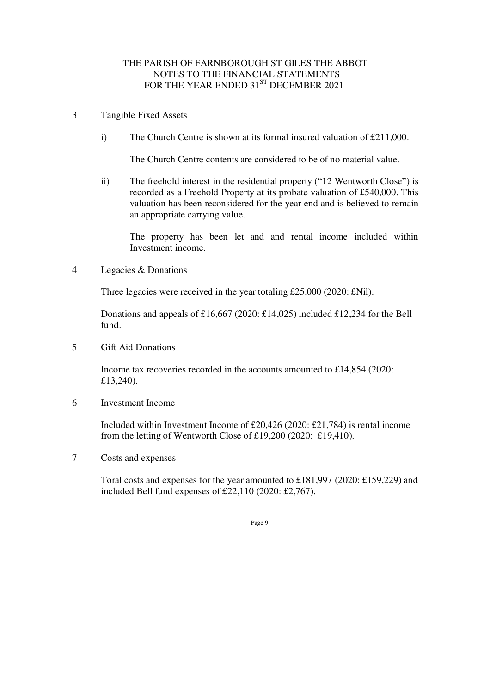# THE PARISH OF FARNBOROUGH ST GILES THE ABBOT NOTES TO THE FINANCIAL STATEMENTS FOR THE YEAR ENDED 31<sup>ST</sup> DECEMBER 2021

- 3 Tangible Fixed Assets
	- i) The Church Centre is shown at its formal insured valuation of  $\text{\pounds}211,000$ .

The Church Centre contents are considered to be of no material value.

ii) The freehold interest in the residential property ("12 Wentworth Close") is recorded as a Freehold Property at its probate valuation of £540,000. This valuation has been reconsidered for the year end and is believed to remain an appropriate carrying value.

The property has been let and and rental income included within Investment income.

4 Legacies & Donations

Three legacies were received in the year totaling £25,000 (2020: £Nil).

Donations and appeals of £16,667 (2020: £14,025) included £12,234 for the Bell fund.

5 Gift Aid Donations

Income tax recoveries recorded in the accounts amounted to £14,854 (2020: £13,240).

6 Investment Income

Included within Investment Income of £20,426 (2020: £21,784) is rental income from the letting of Wentworth Close of £19,200 (2020: £19,410).

7 Costs and expenses

Toral costs and expenses for the year amounted to £181,997 (2020: £159,229) and included Bell fund expenses of £22,110 (2020: £2,767).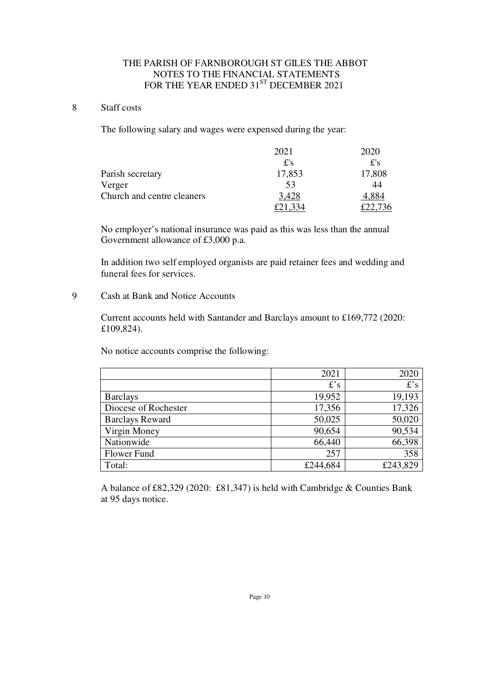# THE PARISH OF FARNBOROUGH ST GILES THE ABBOT NOTES TO THE FINANCIAL STATEMENTS FOR THE YEAR ENDED 31 $^{\mathrm{ST}}$  DECEMBER 2021

## 8 Staff costs

The following salary and wages were expensed during the year:

|                            | 2021   | 2020   |
|----------------------------|--------|--------|
|                            | $f$ 's | $f$ 's |
| Parish secretary           | 17,853 | 17,808 |
| Verger                     | 53     | 44     |
| Church and centre cleaners | 3,428  | 4,884  |
|                            |        |        |

No employer's national insurance was paid as this was less than the annual Government allowance of £3,000 p.a.

In addition two self employed organists are paid retainer fees and wedding and funeral fees for services.

# 9 Cash at Bank and Notice Accounts

Current accounts held with Santander and Barclays amount to £169,772 (2020: £109,824).

No notice accounts comprise the following:

|                        | 2021     | 2020     |
|------------------------|----------|----------|
|                        | f's      | $f$ 's   |
| <b>Barclays</b>        | 19,952   | 19,193   |
| Diocese of Rochester   | 17,356   | 17,326   |
| <b>Barclays Reward</b> | 50,025   | 50,020   |
| Virgin Money           | 90,654   | 90,534   |
| Nationwide             | 66,440   | 66,398   |
| Flower Fund            | 257      | 358      |
| Total:                 | £244,684 | £243,829 |

 A balance of £82,329 (2020: £81,347) is held with Cambridge & Counties Bank at 95 days notice.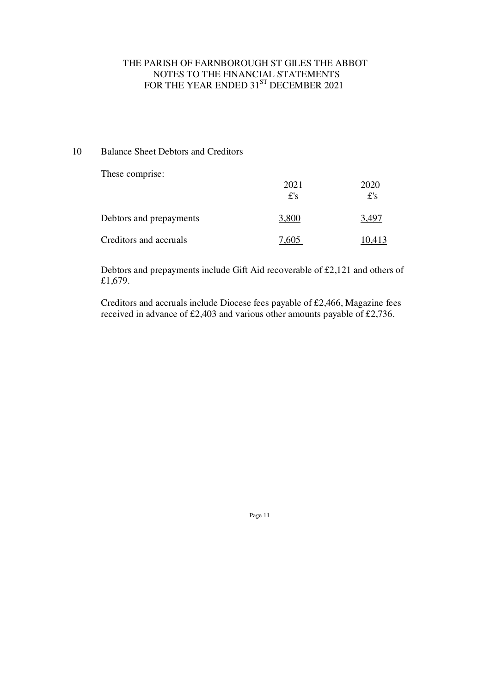# THE PARISH OF FARNBOROUGH ST GILES THE ABBOT NOTES TO THE FINANCIAL STATEMENTS FOR THE YEAR ENDED 31 $^{\mathrm{ST}}$  DECEMBER 2021

# 10 Balance Sheet Debtors and Creditors

These comprise:

|                         | 2021<br>$f$ 's | 2020<br>$f$ 's |
|-------------------------|----------------|----------------|
| Debtors and prepayments | 3,800          | 3 49°          |
| Creditors and accruals  | 7.605          | 10.413         |

Debtors and prepayments include Gift Aid recoverable of £2,121 and others of £1,679.

Creditors and accruals include Diocese fees payable of £2,466, Magazine fees received in advance of £2,403 and various other amounts payable of £2,736.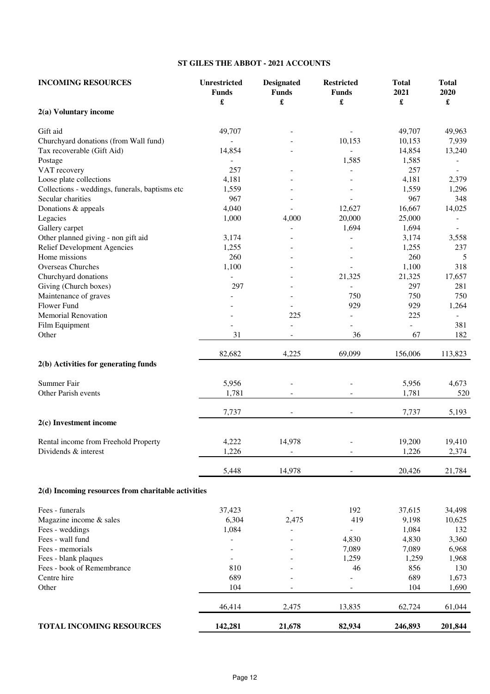## **ST GILES THE ABBOT - 2021 ACCOUNTS**

| £<br>£<br>£<br>£<br>£<br>2(a) Voluntary income<br>49,707<br>Gift aid<br>49,707<br>49,963<br>Churchyard donations (from Wall fund)<br>10,153<br>10,153<br>7,939<br>$\overline{a}$<br>Tax recoverable (Gift Aid)<br>14,854<br>14,854<br>13,240<br>1,585<br>1,585<br>Postage<br>257<br>VAT recovery<br>257<br>$\overline{\phantom{a}}$<br>Loose plate collections<br>4,181<br>4,181<br>2,379<br>Collections - weddings, funerals, baptisms etc<br>1,559<br>1,559<br>1,296<br>967<br>967<br>Secular charities<br>348<br>Donations & appeals<br>4,040<br>12,627<br>16,667<br>14,025<br>Legacies<br>1,000<br>4,000<br>20,000<br>25,000<br>$\qquad \qquad \blacksquare$<br>Gallery carpet<br>1,694<br>1,694<br>Other planned giving - non gift aid<br>3,174<br>3,174<br>3,558<br>1,255<br>Relief Development Agencies<br>1,255<br>237<br>Home missions<br>260<br>260<br>Overseas Churches<br>1,100<br>1,100<br>Churchyard donations<br>21,325<br>21,325<br>17,657<br>Giving (Church boxes)<br>297<br>297<br>281<br>750<br>Maintenance of graves<br>750<br>Flower Fund<br>929<br>929<br>1,264<br><b>Memorial Renovation</b><br>225<br>225<br>$\blacksquare$<br>$\sim$<br>Film Equipment<br>381<br>Other<br>31<br>36<br>67<br>$\qquad \qquad \blacksquare$<br>82,682<br>4,225<br>69,099<br>156,006<br>2(b) Activities for generating funds<br>Summer Fair<br>5,956<br>5,956<br>1,781<br>Other Parish events<br>1,781<br>7,737<br>7,737<br>5,193<br>2(c) Investment income<br>Rental income from Freehold Property<br>4,222<br>14,978<br>19,200<br>19,410<br>Dividends & interest<br>1,226<br>1,226<br>2,374<br>$\overline{\phantom{a}}$<br>$\overline{\phantom{a}}$<br>5,448<br>14,978<br>20,426<br>$\frac{1}{2}$<br>2(d) Incoming resources from charitable activities<br>Fees - funerals<br>37,423<br>192<br>37,615<br>6,304<br>419<br>Magazine income & sales<br>2,475<br>9,198<br>1,084<br>Fees - weddings<br>1,084<br>132<br>Fees - wall fund<br>4,830<br>4,830<br>3,360<br>Fees - memorials<br>7,089<br>7,089<br>Fees - blank plaques<br>1,259<br>1,259<br>Fees - book of Remembrance<br>810<br>46<br>856<br>Centre hire<br>689<br>689<br>104<br>Other<br>104<br>46,414<br>2,475<br>13,835<br>62,724<br>TOTAL INCOMING RESOURCES<br>142,281<br>21,678<br>82,934<br>246,893<br>201,844 | <b>INCOMING RESOURCES</b> | <b>Unrestricted</b><br><b>Funds</b> | <b>Designated</b><br><b>Funds</b> | <b>Restricted</b><br><b>Funds</b> | <b>Total</b><br>2021 | <b>Total</b><br>2020 |
|------------------------------------------------------------------------------------------------------------------------------------------------------------------------------------------------------------------------------------------------------------------------------------------------------------------------------------------------------------------------------------------------------------------------------------------------------------------------------------------------------------------------------------------------------------------------------------------------------------------------------------------------------------------------------------------------------------------------------------------------------------------------------------------------------------------------------------------------------------------------------------------------------------------------------------------------------------------------------------------------------------------------------------------------------------------------------------------------------------------------------------------------------------------------------------------------------------------------------------------------------------------------------------------------------------------------------------------------------------------------------------------------------------------------------------------------------------------------------------------------------------------------------------------------------------------------------------------------------------------------------------------------------------------------------------------------------------------------------------------------------------------------------------------------------------------------------------------------------------------------------------------------------------------------------------------------------------------------------------------------------------------------------------------------------------------------------------------------------------------------------------------------------------------------------------------------------------------------------------------------------------------------------------|---------------------------|-------------------------------------|-----------------------------------|-----------------------------------|----------------------|----------------------|
|                                                                                                                                                                                                                                                                                                                                                                                                                                                                                                                                                                                                                                                                                                                                                                                                                                                                                                                                                                                                                                                                                                                                                                                                                                                                                                                                                                                                                                                                                                                                                                                                                                                                                                                                                                                                                                                                                                                                                                                                                                                                                                                                                                                                                                                                                    |                           |                                     |                                   |                                   |                      |                      |
|                                                                                                                                                                                                                                                                                                                                                                                                                                                                                                                                                                                                                                                                                                                                                                                                                                                                                                                                                                                                                                                                                                                                                                                                                                                                                                                                                                                                                                                                                                                                                                                                                                                                                                                                                                                                                                                                                                                                                                                                                                                                                                                                                                                                                                                                                    |                           |                                     |                                   |                                   |                      |                      |
|                                                                                                                                                                                                                                                                                                                                                                                                                                                                                                                                                                                                                                                                                                                                                                                                                                                                                                                                                                                                                                                                                                                                                                                                                                                                                                                                                                                                                                                                                                                                                                                                                                                                                                                                                                                                                                                                                                                                                                                                                                                                                                                                                                                                                                                                                    |                           |                                     |                                   |                                   |                      |                      |
|                                                                                                                                                                                                                                                                                                                                                                                                                                                                                                                                                                                                                                                                                                                                                                                                                                                                                                                                                                                                                                                                                                                                                                                                                                                                                                                                                                                                                                                                                                                                                                                                                                                                                                                                                                                                                                                                                                                                                                                                                                                                                                                                                                                                                                                                                    |                           |                                     |                                   |                                   |                      |                      |
|                                                                                                                                                                                                                                                                                                                                                                                                                                                                                                                                                                                                                                                                                                                                                                                                                                                                                                                                                                                                                                                                                                                                                                                                                                                                                                                                                                                                                                                                                                                                                                                                                                                                                                                                                                                                                                                                                                                                                                                                                                                                                                                                                                                                                                                                                    |                           |                                     |                                   |                                   |                      |                      |
|                                                                                                                                                                                                                                                                                                                                                                                                                                                                                                                                                                                                                                                                                                                                                                                                                                                                                                                                                                                                                                                                                                                                                                                                                                                                                                                                                                                                                                                                                                                                                                                                                                                                                                                                                                                                                                                                                                                                                                                                                                                                                                                                                                                                                                                                                    |                           |                                     |                                   |                                   |                      |                      |
|                                                                                                                                                                                                                                                                                                                                                                                                                                                                                                                                                                                                                                                                                                                                                                                                                                                                                                                                                                                                                                                                                                                                                                                                                                                                                                                                                                                                                                                                                                                                                                                                                                                                                                                                                                                                                                                                                                                                                                                                                                                                                                                                                                                                                                                                                    |                           |                                     |                                   |                                   |                      |                      |
|                                                                                                                                                                                                                                                                                                                                                                                                                                                                                                                                                                                                                                                                                                                                                                                                                                                                                                                                                                                                                                                                                                                                                                                                                                                                                                                                                                                                                                                                                                                                                                                                                                                                                                                                                                                                                                                                                                                                                                                                                                                                                                                                                                                                                                                                                    |                           |                                     |                                   |                                   |                      |                      |
|                                                                                                                                                                                                                                                                                                                                                                                                                                                                                                                                                                                                                                                                                                                                                                                                                                                                                                                                                                                                                                                                                                                                                                                                                                                                                                                                                                                                                                                                                                                                                                                                                                                                                                                                                                                                                                                                                                                                                                                                                                                                                                                                                                                                                                                                                    |                           |                                     |                                   |                                   |                      |                      |
|                                                                                                                                                                                                                                                                                                                                                                                                                                                                                                                                                                                                                                                                                                                                                                                                                                                                                                                                                                                                                                                                                                                                                                                                                                                                                                                                                                                                                                                                                                                                                                                                                                                                                                                                                                                                                                                                                                                                                                                                                                                                                                                                                                                                                                                                                    |                           |                                     |                                   |                                   |                      |                      |
|                                                                                                                                                                                                                                                                                                                                                                                                                                                                                                                                                                                                                                                                                                                                                                                                                                                                                                                                                                                                                                                                                                                                                                                                                                                                                                                                                                                                                                                                                                                                                                                                                                                                                                                                                                                                                                                                                                                                                                                                                                                                                                                                                                                                                                                                                    |                           |                                     |                                   |                                   |                      |                      |
|                                                                                                                                                                                                                                                                                                                                                                                                                                                                                                                                                                                                                                                                                                                                                                                                                                                                                                                                                                                                                                                                                                                                                                                                                                                                                                                                                                                                                                                                                                                                                                                                                                                                                                                                                                                                                                                                                                                                                                                                                                                                                                                                                                                                                                                                                    |                           |                                     |                                   |                                   |                      |                      |
|                                                                                                                                                                                                                                                                                                                                                                                                                                                                                                                                                                                                                                                                                                                                                                                                                                                                                                                                                                                                                                                                                                                                                                                                                                                                                                                                                                                                                                                                                                                                                                                                                                                                                                                                                                                                                                                                                                                                                                                                                                                                                                                                                                                                                                                                                    |                           |                                     |                                   |                                   |                      |                      |
|                                                                                                                                                                                                                                                                                                                                                                                                                                                                                                                                                                                                                                                                                                                                                                                                                                                                                                                                                                                                                                                                                                                                                                                                                                                                                                                                                                                                                                                                                                                                                                                                                                                                                                                                                                                                                                                                                                                                                                                                                                                                                                                                                                                                                                                                                    |                           |                                     |                                   |                                   |                      |                      |
|                                                                                                                                                                                                                                                                                                                                                                                                                                                                                                                                                                                                                                                                                                                                                                                                                                                                                                                                                                                                                                                                                                                                                                                                                                                                                                                                                                                                                                                                                                                                                                                                                                                                                                                                                                                                                                                                                                                                                                                                                                                                                                                                                                                                                                                                                    |                           |                                     |                                   |                                   |                      | 5                    |
|                                                                                                                                                                                                                                                                                                                                                                                                                                                                                                                                                                                                                                                                                                                                                                                                                                                                                                                                                                                                                                                                                                                                                                                                                                                                                                                                                                                                                                                                                                                                                                                                                                                                                                                                                                                                                                                                                                                                                                                                                                                                                                                                                                                                                                                                                    |                           |                                     |                                   |                                   |                      | 318                  |
|                                                                                                                                                                                                                                                                                                                                                                                                                                                                                                                                                                                                                                                                                                                                                                                                                                                                                                                                                                                                                                                                                                                                                                                                                                                                                                                                                                                                                                                                                                                                                                                                                                                                                                                                                                                                                                                                                                                                                                                                                                                                                                                                                                                                                                                                                    |                           |                                     |                                   |                                   |                      |                      |
|                                                                                                                                                                                                                                                                                                                                                                                                                                                                                                                                                                                                                                                                                                                                                                                                                                                                                                                                                                                                                                                                                                                                                                                                                                                                                                                                                                                                                                                                                                                                                                                                                                                                                                                                                                                                                                                                                                                                                                                                                                                                                                                                                                                                                                                                                    |                           |                                     |                                   |                                   |                      |                      |
|                                                                                                                                                                                                                                                                                                                                                                                                                                                                                                                                                                                                                                                                                                                                                                                                                                                                                                                                                                                                                                                                                                                                                                                                                                                                                                                                                                                                                                                                                                                                                                                                                                                                                                                                                                                                                                                                                                                                                                                                                                                                                                                                                                                                                                                                                    |                           |                                     |                                   |                                   |                      | 750                  |
|                                                                                                                                                                                                                                                                                                                                                                                                                                                                                                                                                                                                                                                                                                                                                                                                                                                                                                                                                                                                                                                                                                                                                                                                                                                                                                                                                                                                                                                                                                                                                                                                                                                                                                                                                                                                                                                                                                                                                                                                                                                                                                                                                                                                                                                                                    |                           |                                     |                                   |                                   |                      |                      |
|                                                                                                                                                                                                                                                                                                                                                                                                                                                                                                                                                                                                                                                                                                                                                                                                                                                                                                                                                                                                                                                                                                                                                                                                                                                                                                                                                                                                                                                                                                                                                                                                                                                                                                                                                                                                                                                                                                                                                                                                                                                                                                                                                                                                                                                                                    |                           |                                     |                                   |                                   |                      |                      |
|                                                                                                                                                                                                                                                                                                                                                                                                                                                                                                                                                                                                                                                                                                                                                                                                                                                                                                                                                                                                                                                                                                                                                                                                                                                                                                                                                                                                                                                                                                                                                                                                                                                                                                                                                                                                                                                                                                                                                                                                                                                                                                                                                                                                                                                                                    |                           |                                     |                                   |                                   |                      |                      |
|                                                                                                                                                                                                                                                                                                                                                                                                                                                                                                                                                                                                                                                                                                                                                                                                                                                                                                                                                                                                                                                                                                                                                                                                                                                                                                                                                                                                                                                                                                                                                                                                                                                                                                                                                                                                                                                                                                                                                                                                                                                                                                                                                                                                                                                                                    |                           |                                     |                                   |                                   |                      | 182                  |
|                                                                                                                                                                                                                                                                                                                                                                                                                                                                                                                                                                                                                                                                                                                                                                                                                                                                                                                                                                                                                                                                                                                                                                                                                                                                                                                                                                                                                                                                                                                                                                                                                                                                                                                                                                                                                                                                                                                                                                                                                                                                                                                                                                                                                                                                                    |                           |                                     |                                   |                                   |                      |                      |
|                                                                                                                                                                                                                                                                                                                                                                                                                                                                                                                                                                                                                                                                                                                                                                                                                                                                                                                                                                                                                                                                                                                                                                                                                                                                                                                                                                                                                                                                                                                                                                                                                                                                                                                                                                                                                                                                                                                                                                                                                                                                                                                                                                                                                                                                                    |                           |                                     |                                   |                                   |                      | 113,823              |
|                                                                                                                                                                                                                                                                                                                                                                                                                                                                                                                                                                                                                                                                                                                                                                                                                                                                                                                                                                                                                                                                                                                                                                                                                                                                                                                                                                                                                                                                                                                                                                                                                                                                                                                                                                                                                                                                                                                                                                                                                                                                                                                                                                                                                                                                                    |                           |                                     |                                   |                                   |                      |                      |
|                                                                                                                                                                                                                                                                                                                                                                                                                                                                                                                                                                                                                                                                                                                                                                                                                                                                                                                                                                                                                                                                                                                                                                                                                                                                                                                                                                                                                                                                                                                                                                                                                                                                                                                                                                                                                                                                                                                                                                                                                                                                                                                                                                                                                                                                                    |                           |                                     |                                   |                                   |                      | 4,673                |
|                                                                                                                                                                                                                                                                                                                                                                                                                                                                                                                                                                                                                                                                                                                                                                                                                                                                                                                                                                                                                                                                                                                                                                                                                                                                                                                                                                                                                                                                                                                                                                                                                                                                                                                                                                                                                                                                                                                                                                                                                                                                                                                                                                                                                                                                                    |                           |                                     |                                   |                                   |                      | 520                  |
|                                                                                                                                                                                                                                                                                                                                                                                                                                                                                                                                                                                                                                                                                                                                                                                                                                                                                                                                                                                                                                                                                                                                                                                                                                                                                                                                                                                                                                                                                                                                                                                                                                                                                                                                                                                                                                                                                                                                                                                                                                                                                                                                                                                                                                                                                    |                           |                                     |                                   |                                   |                      |                      |
|                                                                                                                                                                                                                                                                                                                                                                                                                                                                                                                                                                                                                                                                                                                                                                                                                                                                                                                                                                                                                                                                                                                                                                                                                                                                                                                                                                                                                                                                                                                                                                                                                                                                                                                                                                                                                                                                                                                                                                                                                                                                                                                                                                                                                                                                                    |                           |                                     |                                   |                                   |                      |                      |
|                                                                                                                                                                                                                                                                                                                                                                                                                                                                                                                                                                                                                                                                                                                                                                                                                                                                                                                                                                                                                                                                                                                                                                                                                                                                                                                                                                                                                                                                                                                                                                                                                                                                                                                                                                                                                                                                                                                                                                                                                                                                                                                                                                                                                                                                                    |                           |                                     |                                   |                                   |                      |                      |
|                                                                                                                                                                                                                                                                                                                                                                                                                                                                                                                                                                                                                                                                                                                                                                                                                                                                                                                                                                                                                                                                                                                                                                                                                                                                                                                                                                                                                                                                                                                                                                                                                                                                                                                                                                                                                                                                                                                                                                                                                                                                                                                                                                                                                                                                                    |                           |                                     |                                   |                                   |                      |                      |
|                                                                                                                                                                                                                                                                                                                                                                                                                                                                                                                                                                                                                                                                                                                                                                                                                                                                                                                                                                                                                                                                                                                                                                                                                                                                                                                                                                                                                                                                                                                                                                                                                                                                                                                                                                                                                                                                                                                                                                                                                                                                                                                                                                                                                                                                                    |                           |                                     |                                   |                                   |                      |                      |
|                                                                                                                                                                                                                                                                                                                                                                                                                                                                                                                                                                                                                                                                                                                                                                                                                                                                                                                                                                                                                                                                                                                                                                                                                                                                                                                                                                                                                                                                                                                                                                                                                                                                                                                                                                                                                                                                                                                                                                                                                                                                                                                                                                                                                                                                                    |                           |                                     |                                   |                                   |                      | 21,784               |
|                                                                                                                                                                                                                                                                                                                                                                                                                                                                                                                                                                                                                                                                                                                                                                                                                                                                                                                                                                                                                                                                                                                                                                                                                                                                                                                                                                                                                                                                                                                                                                                                                                                                                                                                                                                                                                                                                                                                                                                                                                                                                                                                                                                                                                                                                    |                           |                                     |                                   |                                   |                      |                      |
|                                                                                                                                                                                                                                                                                                                                                                                                                                                                                                                                                                                                                                                                                                                                                                                                                                                                                                                                                                                                                                                                                                                                                                                                                                                                                                                                                                                                                                                                                                                                                                                                                                                                                                                                                                                                                                                                                                                                                                                                                                                                                                                                                                                                                                                                                    |                           |                                     |                                   |                                   |                      |                      |
|                                                                                                                                                                                                                                                                                                                                                                                                                                                                                                                                                                                                                                                                                                                                                                                                                                                                                                                                                                                                                                                                                                                                                                                                                                                                                                                                                                                                                                                                                                                                                                                                                                                                                                                                                                                                                                                                                                                                                                                                                                                                                                                                                                                                                                                                                    |                           |                                     |                                   |                                   |                      | 34,498               |
|                                                                                                                                                                                                                                                                                                                                                                                                                                                                                                                                                                                                                                                                                                                                                                                                                                                                                                                                                                                                                                                                                                                                                                                                                                                                                                                                                                                                                                                                                                                                                                                                                                                                                                                                                                                                                                                                                                                                                                                                                                                                                                                                                                                                                                                                                    |                           |                                     |                                   |                                   |                      | 10,625               |
|                                                                                                                                                                                                                                                                                                                                                                                                                                                                                                                                                                                                                                                                                                                                                                                                                                                                                                                                                                                                                                                                                                                                                                                                                                                                                                                                                                                                                                                                                                                                                                                                                                                                                                                                                                                                                                                                                                                                                                                                                                                                                                                                                                                                                                                                                    |                           |                                     |                                   |                                   |                      |                      |
|                                                                                                                                                                                                                                                                                                                                                                                                                                                                                                                                                                                                                                                                                                                                                                                                                                                                                                                                                                                                                                                                                                                                                                                                                                                                                                                                                                                                                                                                                                                                                                                                                                                                                                                                                                                                                                                                                                                                                                                                                                                                                                                                                                                                                                                                                    |                           |                                     |                                   |                                   |                      |                      |
|                                                                                                                                                                                                                                                                                                                                                                                                                                                                                                                                                                                                                                                                                                                                                                                                                                                                                                                                                                                                                                                                                                                                                                                                                                                                                                                                                                                                                                                                                                                                                                                                                                                                                                                                                                                                                                                                                                                                                                                                                                                                                                                                                                                                                                                                                    |                           |                                     |                                   |                                   |                      | 6,968                |
|                                                                                                                                                                                                                                                                                                                                                                                                                                                                                                                                                                                                                                                                                                                                                                                                                                                                                                                                                                                                                                                                                                                                                                                                                                                                                                                                                                                                                                                                                                                                                                                                                                                                                                                                                                                                                                                                                                                                                                                                                                                                                                                                                                                                                                                                                    |                           |                                     |                                   |                                   |                      | 1,968                |
|                                                                                                                                                                                                                                                                                                                                                                                                                                                                                                                                                                                                                                                                                                                                                                                                                                                                                                                                                                                                                                                                                                                                                                                                                                                                                                                                                                                                                                                                                                                                                                                                                                                                                                                                                                                                                                                                                                                                                                                                                                                                                                                                                                                                                                                                                    |                           |                                     |                                   |                                   |                      | 130                  |
|                                                                                                                                                                                                                                                                                                                                                                                                                                                                                                                                                                                                                                                                                                                                                                                                                                                                                                                                                                                                                                                                                                                                                                                                                                                                                                                                                                                                                                                                                                                                                                                                                                                                                                                                                                                                                                                                                                                                                                                                                                                                                                                                                                                                                                                                                    |                           |                                     |                                   |                                   |                      | 1,673                |
|                                                                                                                                                                                                                                                                                                                                                                                                                                                                                                                                                                                                                                                                                                                                                                                                                                                                                                                                                                                                                                                                                                                                                                                                                                                                                                                                                                                                                                                                                                                                                                                                                                                                                                                                                                                                                                                                                                                                                                                                                                                                                                                                                                                                                                                                                    |                           |                                     |                                   |                                   |                      | 1,690                |
|                                                                                                                                                                                                                                                                                                                                                                                                                                                                                                                                                                                                                                                                                                                                                                                                                                                                                                                                                                                                                                                                                                                                                                                                                                                                                                                                                                                                                                                                                                                                                                                                                                                                                                                                                                                                                                                                                                                                                                                                                                                                                                                                                                                                                                                                                    |                           |                                     |                                   |                                   |                      | 61,044               |
|                                                                                                                                                                                                                                                                                                                                                                                                                                                                                                                                                                                                                                                                                                                                                                                                                                                                                                                                                                                                                                                                                                                                                                                                                                                                                                                                                                                                                                                                                                                                                                                                                                                                                                                                                                                                                                                                                                                                                                                                                                                                                                                                                                                                                                                                                    |                           |                                     |                                   |                                   |                      |                      |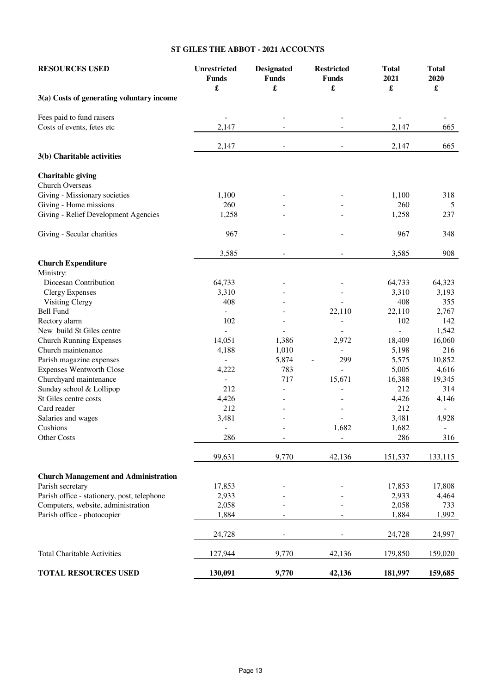### **ST GILES THE ABBOT - 2021 ACCOUNTS**

| <b>RESOURCES USED</b>                       | <b>Unrestricted</b><br><b>Funds</b><br>$\pmb{\mathfrak{L}}$ | <b>Designated</b><br><b>Funds</b><br>£ | <b>Restricted</b><br><b>Funds</b><br>£ | <b>Total</b><br>2021<br>£ | <b>Total</b><br>2020<br>£ |
|---------------------------------------------|-------------------------------------------------------------|----------------------------------------|----------------------------------------|---------------------------|---------------------------|
| 3(a) Costs of generating voluntary income   |                                                             |                                        |                                        |                           |                           |
| Fees paid to fund raisers                   |                                                             |                                        |                                        |                           |                           |
| Costs of events, fetes etc                  | 2,147                                                       |                                        |                                        | 2,147                     | 665                       |
|                                             | 2,147                                                       |                                        |                                        | 2,147                     | 665                       |
| 3(b) Charitable activities                  |                                                             |                                        |                                        |                           |                           |
| <b>Charitable giving</b>                    |                                                             |                                        |                                        |                           |                           |
| Church Overseas                             |                                                             |                                        |                                        |                           |                           |
| Giving - Missionary societies               | 1,100                                                       |                                        |                                        | 1,100                     | 318                       |
| Giving - Home missions                      | 260                                                         |                                        |                                        | 260                       | 5                         |
| Giving - Relief Development Agencies        | 1,258                                                       |                                        |                                        | 1,258                     | 237                       |
| Giving - Secular charities                  | 967                                                         | $\sim$                                 | $\overline{\phantom{a}}$               | 967                       | 348                       |
|                                             | 3,585                                                       | $\overline{\phantom{m}}$               | $\overline{\phantom{a}}$               | 3,585                     | 908                       |
| <b>Church Expenditure</b><br>Ministry:      |                                                             |                                        |                                        |                           |                           |
| Diocesan Contribution                       | 64,733                                                      |                                        |                                        | 64,733                    | 64,323                    |
| <b>Clergy Expenses</b>                      | 3,310                                                       |                                        |                                        | 3,310                     | 3,193                     |
| <b>Visiting Clergy</b>                      | 408                                                         |                                        |                                        | 408                       | 355                       |
| <b>Bell Fund</b>                            |                                                             |                                        | 22,110                                 | 22,110                    | 2,767                     |
| Rectory alarm                               | 102                                                         |                                        |                                        | 102                       | 142                       |
| New build St Giles centre                   | $\sim$                                                      |                                        |                                        | $\overline{\phantom{0}}$  | 1,542                     |
| <b>Church Running Expenses</b>              | 14,051                                                      | 1,386                                  | 2,972                                  | 18,409                    | 16,060                    |
| Church maintenance                          | 4,188                                                       | 1,010                                  | $\blacksquare$                         | 5,198                     | 216                       |
| Parish magazine expenses                    | $\overline{\phantom{a}}$                                    | 5,874                                  | 299                                    | 5,575                     | 10,852                    |
| <b>Expenses Wentworth Close</b>             | 4,222                                                       | 783                                    |                                        | 5,005                     | 4,616                     |
| Churchyard maintenance                      |                                                             | 717                                    | 15,671                                 | 16,388                    | 19,345                    |
| Sunday school & Lollipop                    | 212                                                         |                                        |                                        | 212                       | 314                       |
| St Giles centre costs                       | 4,426                                                       |                                        |                                        | 4,426                     | 4,146                     |
| Card reader                                 | 212                                                         |                                        |                                        | 212                       |                           |
| Salaries and wages                          | 3,481                                                       |                                        |                                        | 3,481                     | 4,928                     |
| Cushions                                    | $\overline{\phantom{a}}$                                    |                                        | 1,682                                  | 1,682                     | $\overline{\phantom{a}}$  |
| Other Costs                                 | 286                                                         |                                        | $\overline{a}$                         | 286                       | 316                       |
|                                             | 99,631                                                      | 9,770                                  | 42,136                                 | 151,537                   | 133,115                   |
|                                             |                                                             |                                        |                                        |                           |                           |
| <b>Church Management and Administration</b> |                                                             |                                        |                                        |                           |                           |
| Parish secretary                            | 17,853                                                      |                                        |                                        | 17,853                    | 17,808                    |
| Parish office - stationery, post, telephone | 2,933                                                       |                                        |                                        | 2,933                     | 4,464                     |
| Computers, website, administration          | 2,058                                                       |                                        |                                        | 2,058                     | 733                       |
| Parish office - photocopier                 | 1,884                                                       |                                        |                                        | 1,884                     | 1,992                     |
|                                             | 24,728                                                      |                                        |                                        | 24,728                    | 24,997                    |
| <b>Total Charitable Activities</b>          | 127,944                                                     | 9,770                                  | 42,136                                 | 179,850                   | 159,020                   |
| <b>TOTAL RESOURCES USED</b>                 | 130,091                                                     | 9,770                                  | 42,136                                 | 181,997                   | 159,685                   |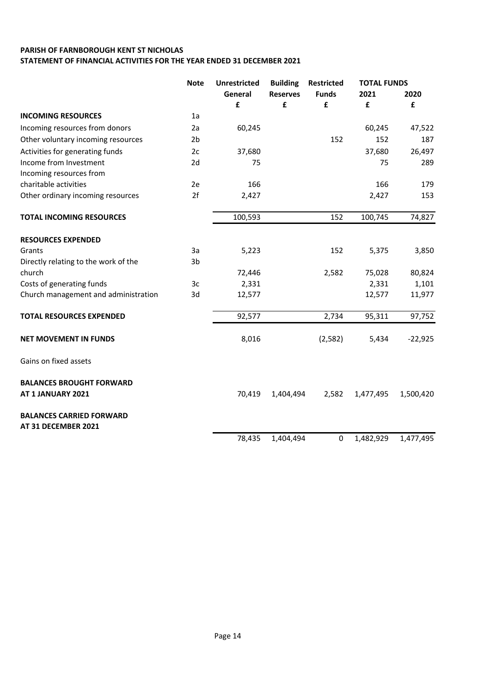## PARISH OF FARNBOROUGH KENT ST NICHOLAS STATEMENT OF FINANCIAL ACTIVITIES FOR THE YEAR ENDED 31 DECEMBER 2021

|                                                        | <b>Note</b>    | <b>Unrestricted</b> | <b>Building</b> | <b>Restricted</b> | <b>TOTAL FUNDS</b> |           |
|--------------------------------------------------------|----------------|---------------------|-----------------|-------------------|--------------------|-----------|
|                                                        |                | General             | <b>Reserves</b> | <b>Funds</b>      | 2021               | 2020      |
|                                                        |                | £                   | £               | £                 | £                  | £         |
| <b>INCOMING RESOURCES</b>                              | 1a             |                     |                 |                   |                    |           |
| Incoming resources from donors                         | 2a             | 60,245              |                 |                   | 60,245             | 47,522    |
| Other voluntary incoming resources                     | 2 <sub>b</sub> |                     |                 | 152               | 152                | 187       |
| Activities for generating funds                        | 2c             | 37,680              |                 |                   | 37,680             | 26,497    |
| Income from Investment                                 | 2d             | 75                  |                 |                   | 75                 | 289       |
| Incoming resources from                                |                |                     |                 |                   |                    |           |
| charitable activities                                  | 2e             | 166                 |                 |                   | 166                | 179       |
| Other ordinary incoming resources                      | 2f             | 2,427               |                 |                   | 2,427              | 153       |
| <b>TOTAL INCOMING RESOURCES</b>                        |                | 100,593             |                 | 152               | 100,745            | 74,827    |
| <b>RESOURCES EXPENDED</b>                              |                |                     |                 |                   |                    |           |
| Grants                                                 | 3a             | 5,223               |                 | 152               | 5,375              | 3,850     |
| Directly relating to the work of the                   | 3 <sub>b</sub> |                     |                 |                   |                    |           |
| church                                                 |                | 72,446              |                 | 2,582             | 75,028             | 80,824    |
| Costs of generating funds                              | 3c             | 2,331               |                 |                   | 2,331              | 1,101     |
| Church management and administration                   | 3d             | 12,577              |                 |                   | 12,577             | 11,977    |
| <b>TOTAL RESOURCES EXPENDED</b>                        |                | 92,577              |                 | 2,734             | 95,311             | 97,752    |
| <b>NET MOVEMENT IN FUNDS</b>                           |                | 8,016               |                 | (2,582)           | 5,434              | $-22,925$ |
| Gains on fixed assets                                  |                |                     |                 |                   |                    |           |
| <b>BALANCES BROUGHT FORWARD</b>                        |                |                     |                 |                   |                    |           |
| AT 1 JANUARY 2021                                      |                | 70,419              | 1,404,494       | 2,582             | 1,477,495          | 1,500,420 |
| <b>BALANCES CARRIED FORWARD</b><br>AT 31 DECEMBER 2021 |                |                     |                 |                   |                    |           |
|                                                        |                | 78,435              | 1,404,494       | 0                 | 1,482,929          | 1,477,495 |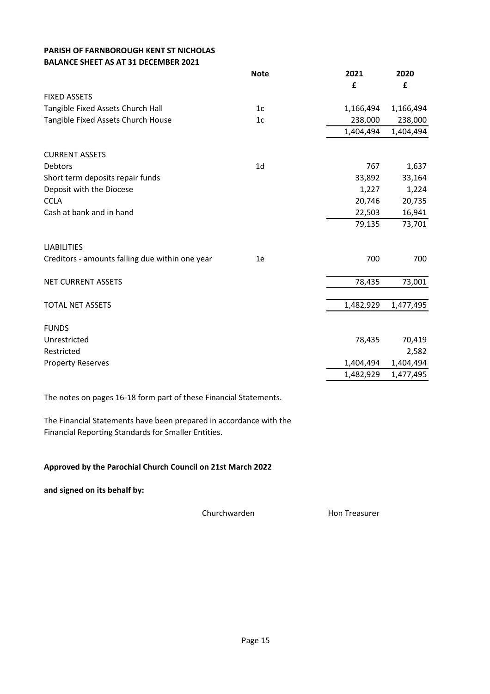## PARISH OF FARNBOROUGH KENT ST NICHOLAS BALANCE SHEET AS AT 31 DECEMBER 2021

|                                                 | <b>Note</b>    | 2021      | 2020      |
|-------------------------------------------------|----------------|-----------|-----------|
|                                                 |                | £         | £         |
| <b>FIXED ASSETS</b>                             |                |           |           |
| Tangible Fixed Assets Church Hall               | 1 <sub>c</sub> | 1,166,494 | 1,166,494 |
| Tangible Fixed Assets Church House              | 1 <sub>c</sub> | 238,000   | 238,000   |
|                                                 |                | 1,404,494 | 1,404,494 |
| <b>CURRENT ASSETS</b>                           |                |           |           |
| Debtors                                         | 1 <sub>d</sub> | 767       | 1,637     |
| Short term deposits repair funds                |                | 33,892    | 33,164    |
| Deposit with the Diocese                        |                | 1,227     | 1,224     |
| <b>CCLA</b>                                     |                | 20,746    | 20,735    |
| Cash at bank and in hand                        |                | 22,503    | 16,941    |
|                                                 |                | 79,135    | 73,701    |
| <b>LIABILITIES</b>                              |                |           |           |
| Creditors - amounts falling due within one year | 1e             | 700       | 700       |
| <b>NET CURRENT ASSETS</b>                       |                | 78,435    | 73,001    |
|                                                 |                |           |           |
| <b>TOTAL NET ASSETS</b>                         |                | 1,482,929 | 1,477,495 |
| <b>FUNDS</b>                                    |                |           |           |
| Unrestricted                                    |                | 78,435    | 70,419    |
| Restricted                                      |                |           | 2,582     |
| <b>Property Reserves</b>                        |                | 1,404,494 | 1,404,494 |
|                                                 |                | 1,482,929 | 1,477,495 |

The notes on pages 16-18 form part of these Financial Statements.

The Financial Statements have been prepared in accordance with the Financial Reporting Standards for Smaller Entities.

## Approved by the Parochial Church Council on 21st March 2022

and signed on its behalf by:

Churchwarden Hon Treasurer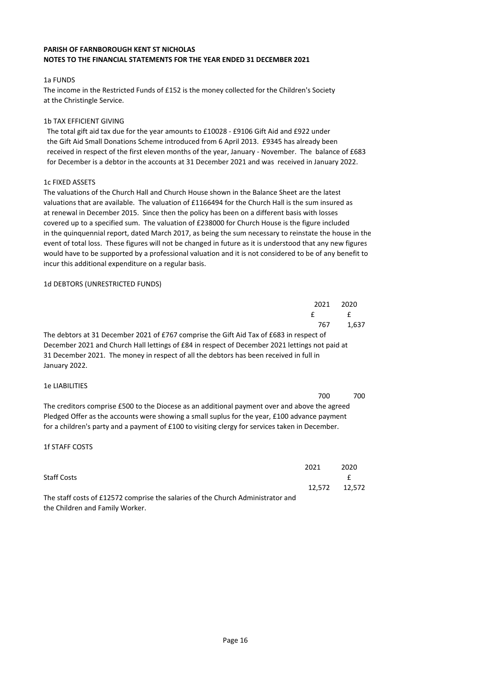#### PARISH OF FARNBOROUGH KENT ST NICHOLAS NOTES TO THE FINANCIAL STATEMENTS FOR THE YEAR ENDED 31 DECEMBER 2021

### 1a FUNDS

The income in the Restricted Funds of £152 is the money collected for the Children's Society at the Christingle Service.

### 1b TAX EFFICIENT GIVING

 The total gift aid tax due for the year amounts to £10028 - £9106 Gift Aid and £922 under the Gift Aid Small Donations Scheme introduced from 6 April 2013. £9345 has already been received in respect of the first eleven months of the year, January - November. The balance of £683 for December is a debtor in the accounts at 31 December 2021 and was received in January 2022.

### 1c FIXED ASSETS

The valuations of the Church Hall and Church House shown in the Balance Sheet are the latest valuations that are available. The valuation of £1166494 for the Church Hall is the sum insured as at renewal in December 2015. Since then the policy has been on a different basis with losses covered up to a specified sum. The valuation of £238000 for Church House is the figure included in the quinquennial report, dated March 2017, as being the sum necessary to reinstate the house in the event of total loss. These figures will not be changed in future as it is understood that any new figures would have to be supported by a professional valuation and it is not considered to be of any benefit to incur this additional expenditure on a regular basis.

### 1d DEBTORS (UNRESTRICTED FUNDS)

|                                                                                                | 2021 | 2020  |
|------------------------------------------------------------------------------------------------|------|-------|
|                                                                                                | f    | f     |
|                                                                                                | 767  | 1.637 |
| The debtors at 31 December 2021 of £767 comprise the Gift Aid Tax of £683 in respect of        |      |       |
| December 2021 and Church Hall lettings of £84 in respect of December 2021 lettings not paid at |      |       |
| 31 December 2021. The money in respect of all the debtors has been received in full in         |      |       |
| January 2022.                                                                                  |      |       |
|                                                                                                |      |       |

### 1e LIABILITIES

|                                                                                                 | 700 | 700 |
|-------------------------------------------------------------------------------------------------|-----|-----|
| The creditors comprise £500 to the Diocese as an additional payment over and above the agreed   |     |     |
| Pledged Offer as the accounts were showing a small suplus for the year, £100 advance payment    |     |     |
| for a children's party and a payment of £100 to visiting clergy for services taken in December. |     |     |

### 1f STAFF COSTS

|                                                                                 | 2021 | 2020          |
|---------------------------------------------------------------------------------|------|---------------|
| <b>Staff Costs</b>                                                              |      |               |
|                                                                                 |      | 12.572 12.572 |
| The staff costs of £12572 comprise the salaries of the Church Administrator and |      |               |
| the Children and Family Worker.                                                 |      |               |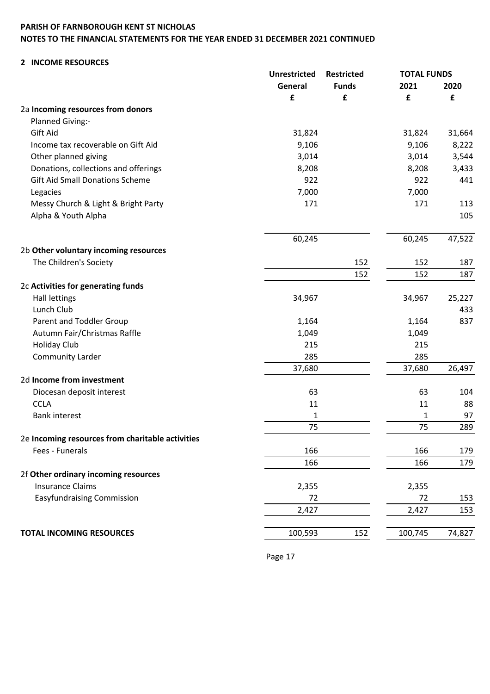# PARISH OF FARNBOROUGH KENT ST NICHOLAS NOTES TO THE FINANCIAL STATEMENTS FOR THE YEAR ENDED 31 DECEMBER 2021 CONTINUED

## 2 INCOME RESOURCES

|                                                  | <b>Unrestricted</b> | <b>Restricted</b> | <b>TOTAL FUNDS</b> |        |
|--------------------------------------------------|---------------------|-------------------|--------------------|--------|
|                                                  | General             | <b>Funds</b>      | 2021               | 2020   |
|                                                  | £                   | £                 | £                  | £      |
| 2a Incoming resources from donors                |                     |                   |                    |        |
| Planned Giving:-                                 |                     |                   |                    |        |
| Gift Aid                                         | 31,824              |                   | 31,824             | 31,664 |
| Income tax recoverable on Gift Aid               | 9,106               |                   | 9,106              | 8,222  |
| Other planned giving                             | 3,014               |                   | 3,014              | 3,544  |
| Donations, collections and offerings             | 8,208               |                   | 8,208              | 3,433  |
| <b>Gift Aid Small Donations Scheme</b>           | 922                 |                   | 922                | 441    |
| Legacies                                         | 7,000               |                   | 7,000              |        |
| Messy Church & Light & Bright Party              | 171                 |                   | 171                | 113    |
| Alpha & Youth Alpha                              |                     |                   |                    | 105    |
|                                                  | 60,245              |                   | 60,245             | 47,522 |
| 2b Other voluntary incoming resources            |                     |                   |                    |        |
| The Children's Society                           |                     | 152               | 152                | 187    |
|                                                  |                     | 152               | 152                | 187    |
| 2c Activities for generating funds               |                     |                   |                    |        |
| <b>Hall lettings</b>                             | 34,967              |                   | 34,967             | 25,227 |
| Lunch Club                                       |                     |                   |                    | 433    |
| Parent and Toddler Group                         | 1,164               |                   | 1,164              | 837    |
| Autumn Fair/Christmas Raffle                     | 1,049               |                   | 1,049              |        |
| <b>Holiday Club</b>                              | 215                 |                   | 215                |        |
| <b>Community Larder</b>                          | 285                 |                   | 285                |        |
|                                                  | 37,680              |                   | 37,680             | 26,497 |
| 2d Income from investment                        |                     |                   |                    |        |
| Diocesan deposit interest                        | 63                  |                   | 63                 | 104    |
| <b>CCLA</b>                                      | 11                  |                   | 11                 | 88     |
| <b>Bank interest</b>                             | 1                   |                   | 1                  | 97     |
|                                                  | 75                  |                   | 75                 | 289    |
| 2e Incoming resources from charitable activities |                     |                   |                    |        |
| Fees - Funerals                                  | 166                 |                   | 166                | 179    |
|                                                  | 166                 |                   | 166                | 179    |
| 2f Other ordinary incoming resources             |                     |                   |                    |        |
| <b>Insurance Claims</b>                          | 2,355               |                   | 2,355              |        |
| <b>Easyfundraising Commission</b>                | 72                  |                   | 72                 | 153    |
|                                                  | 2,427               |                   | 2,427              | 153    |
| <b>TOTAL INCOMING RESOURCES</b>                  | 100,593             | 152               | 100,745            | 74,827 |
|                                                  |                     |                   |                    |        |